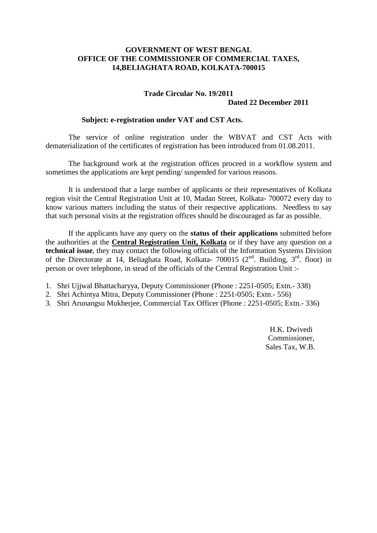## **GOVERNMENT OF WEST BENGAL OFFICE OF THE COMMISSIONER OF COMMERCIAL TAXES, 14,BELIAGHATA ROAD, KOLKATA-700015**

## **Trade Circular No. 19/2011 Dated 22 December 2011**

## **Subject: e-registration under VAT and CST Acts.**

The service of online registration under the WBVAT and CST Acts with dematerialization of the certificates of registration has been introduced from 01.08.2011.

The background work at the registration offices proceed in a workflow system and sometimes the applications are kept pending/ suspended for various reasons.

It is understood that a large number of applicants or their representatives of Kolkata region visit the Central Registration Unit at 10, Madan Street, Kolkata- 700072 every day to know various matters including the status of their respective applications. Needless to say that such personal visits at the registration offices should be discouraged as far as possible.

If the applicants have any query on the **status of their applications** submitted before the authorities at the **Central Registration Unit, Kolkata** or if they have any question on a **technical issue**, they may contact the following officials of the Information Systems Division of the Directorate at 14, Beliaghata Road, Kolkata- 700015 ( $2<sup>nd</sup>$ . Building,  $3<sup>rd</sup>$ . floor) in person or over telephone, in stead of the officials of the Central Registration Unit :-

- 1. Shri Ujjwal Bhattacharyya, Deputy Commissioner (Phone : 2251-0505; Extn.- 338)
- 2. Shri Achintya Mitra, Deputy Commissioner (Phone : 2251-0505; Extn.- 556)
- 3. Shri Arunangsu Mukherjee, Commercial Tax Officer (Phone : 2251-0505; Extn.- 336)

 H.K. Dwivedi Commissioner, Sales Tax, W.B.